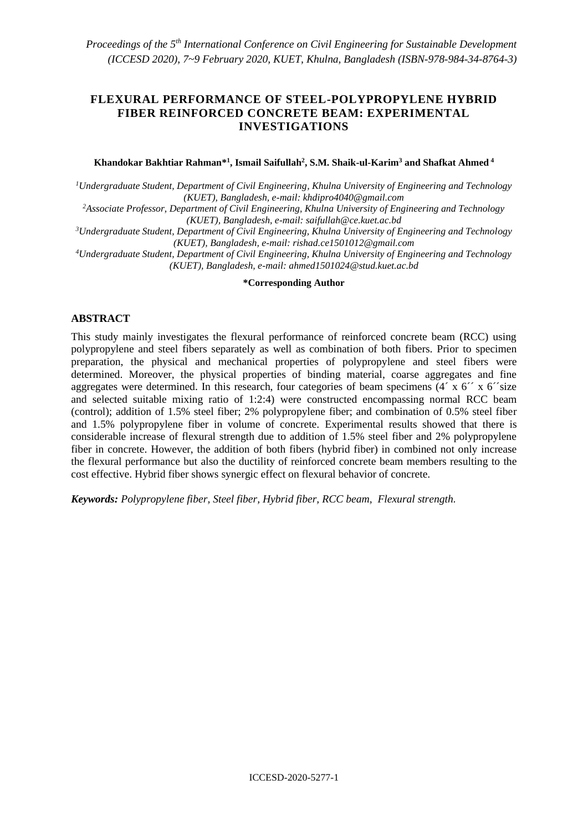# **FLEXURAL PERFORMANCE OF STEEL-POLYPROPYLENE HYBRID FIBER REINFORCED CONCRETE BEAM: EXPERIMENTAL INVESTIGATIONS**

#### **Khandokar Bakhtiar Rahman\* 1 , Ismail Saifullah<sup>2</sup> , S.M. Shaik-ul-Karim<sup>3</sup> and Shafkat Ahmed <sup>4</sup>**

*<sup>1</sup>Undergraduate Student, Department of Civil Engineering, Khulna University of Engineering and Technology (KUET), Bangladesh, e-mail: [khdipro4040@gmail.com](mailto:khdipro4040@gmail.com)*

*<sup>2</sup>Associate Professor, Department of Civil Engineering, Khulna University of Engineering and Technology (KUET), Bangladesh, e-mail: saifullah@ce.kuet.ac.bd*

*<sup>3</sup>Undergraduate Student, Department of Civil Engineering, Khulna University of Engineering and Technology (KUET), Bangladesh, e-mail[: rishad.ce1501012@gmail.com](mailto:rishad.ce1501012@gmail.com)*

*<sup>4</sup>Undergraduate Student, Department of Civil Engineering, Khulna University of Engineering and Technology (KUET), Bangladesh, e-mail[: ahmed1501024@stud.kuet.ac.bd](mailto:ahmed1501024@stud.kuet.ac.bd)*

#### **\*Corresponding Author**

#### **ABSTRACT**

This study mainly investigates the flexural performance of reinforced concrete beam (RCC) using polypropylene and steel fibers separately as well as combination of both fibers. Prior to specimen preparation, the physical and mechanical properties of polypropylene and steel fibers were determined. Moreover, the physical properties of binding material, coarse aggregates and fine aggregates were determined. In this research, four categories of beam specimens (4´ x 6´´ x 6´´size and selected suitable mixing ratio of 1:2:4) were constructed encompassing normal RCC beam (control); addition of 1.5% steel fiber; 2% polypropylene fiber; and combination of 0.5% steel fiber and 1.5% polypropylene fiber in volume of concrete. Experimental results showed that there is considerable increase of flexural strength due to addition of 1.5% steel fiber and 2% polypropylene fiber in concrete. However, the addition of both fibers (hybrid fiber) in combined not only increase the flexural performance but also the ductility of reinforced concrete beam members resulting to the cost effective. Hybrid fiber shows synergic effect on flexural behavior of concrete.

*Keywords: Polypropylene fiber, Steel fiber, Hybrid fiber, RCC beam, Flexural strength.*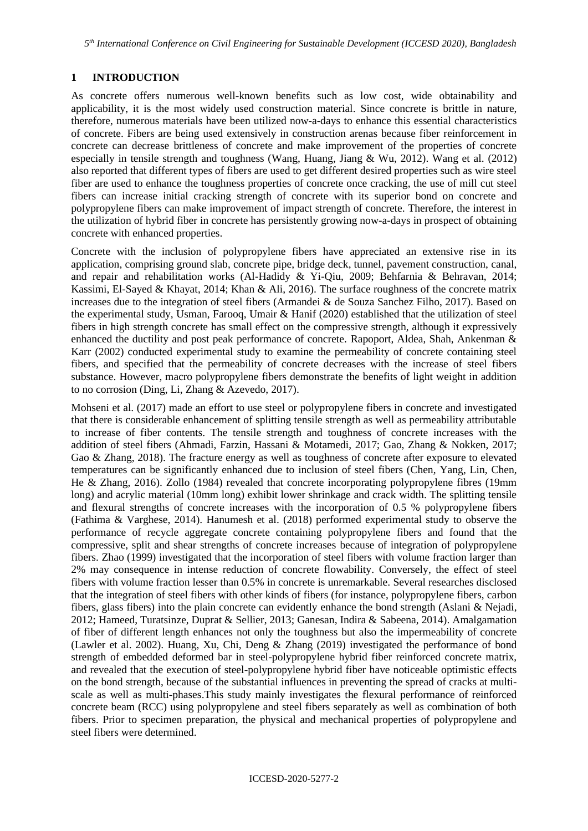*5 th International Conference on Civil Engineering for Sustainable Development (ICCESD 2020), Bangladesh*

#### **1 INTRODUCTION**

As concrete offers numerous well-known benefits such as low cost, wide obtainability and applicability, it is the most widely used construction material. Since concrete is brittle in nature, therefore, numerous materials have been utilized now-a-days to enhance this essential characteristics of concrete. Fibers are being used extensively in construction arenas because fiber reinforcement in concrete can decrease brittleness of concrete and make improvement of the properties of concrete especially in tensile strength and toughness (Wang, Huang, Jiang & Wu, 2012). Wang et al. (2012) also reported that different types of fibers are used to get different desired properties such as wire steel fiber are used to enhance the toughness properties of concrete once cracking, the use of mill cut steel fibers can increase initial cracking strength of concrete with its superior bond on concrete and polypropylene fibers can make improvement of impact strength of concrete. Therefore, the interest in the utilization of hybrid fiber in concrete has persistently growing now-a-days in prospect of obtaining concrete with enhanced properties.

Concrete with the inclusion of polypropylene fibers have appreciated an extensive rise in its application, comprising ground slab, concrete pipe, bridge deck, tunnel, pavement construction, canal, and repair and rehabilitation works (Al-Hadidy & Yi-Qiu, 2009; Behfarnia & Behravan, 2014; Kassimi, El-Sayed & Khayat, 2014; Khan & Ali, 2016). The surface roughness of the concrete matrix increases due to the integration of steel fibers (Armandei & de Souza Sanchez Filho, 2017). Based on the experimental study, Usman, Farooq, Umair & Hanif (2020) established that the utilization of steel fibers in high strength concrete has small effect on the compressive strength, although it expressively enhanced the ductility and post peak performance of concrete. Rapoport, Aldea, Shah, Ankenman & Karr (2002) conducted experimental study to examine the permeability of concrete containing steel fibers, and specified that the permeability of concrete decreases with the increase of steel fibers substance. However, macro polypropylene fibers demonstrate the benefits of light weight in addition to no corrosion (Ding, Li, Zhang & Azevedo, 2017).

Mohseni et al. (2017) made an effort to use steel or polypropylene fibers in concrete and investigated that there is considerable enhancement of splitting tensile strength as well as permeability attributable to increase of fiber contents. The tensile strength and toughness of concrete increases with the addition of steel fibers (Ahmadi, Farzin, Hassani & Motamedi, 2017; Gao, Zhang & Nokken, 2017; Gao & Zhang, 2018). The fracture energy as well as toughness of concrete after exposure to elevated temperatures can be significantly enhanced due to inclusion of steel fibers (Chen, Yang, Lin, Chen, He & Zhang, 2016). Zollo (1984) revealed that concrete incorporating polypropylene fibres (19mm long) and acrylic material (10mm long) exhibit lower shrinkage and crack width. The splitting tensile and flexural strengths of concrete increases with the incorporation of 0.5 % polypropylene fibers (Fathima & Varghese, 2014). Hanumesh et al. (2018) performed experimental study to observe the performance of recycle aggregate concrete containing polypropylene fibers and found that the compressive, split and shear strengths of concrete increases because of integration of polypropylene fibers. Zhao (1999) investigated that the incorporation of steel fibers with volume fraction larger than 2% may consequence in intense reduction of concrete flowability. Conversely, the effect of steel fibers with volume fraction lesser than 0.5% in concrete is unremarkable. Several researches disclosed that the integration of steel fibers with other kinds of fibers (for instance, polypropylene fibers, carbon fibers, glass fibers) into the plain concrete can evidently enhance the bond strength (Aslani & Nejadi, 2012; Hameed, Turatsinze, Duprat & Sellier, 2013; Ganesan, Indira & Sabeena, 2014). Amalgamation of fiber of different length enhances not only the toughness but also the impermeability of concrete (Lawler et al. 2002). Huang, Xu, Chi, Deng & Zhang (2019) investigated the performance of bond strength of embedded deformed bar in steel-polypropylene hybrid fiber reinforced concrete matrix, and revealed that the execution of steel-polypropylene hybrid fiber have noticeable optimistic effects on the bond strength, because of the substantial influences in preventing the spread of cracks at multiscale as well as multi-phases.This study mainly investigates the flexural performance of reinforced concrete beam (RCC) using polypropylene and steel fibers separately as well as combination of both fibers. Prior to specimen preparation, the physical and mechanical properties of polypropylene and steel fibers were determined.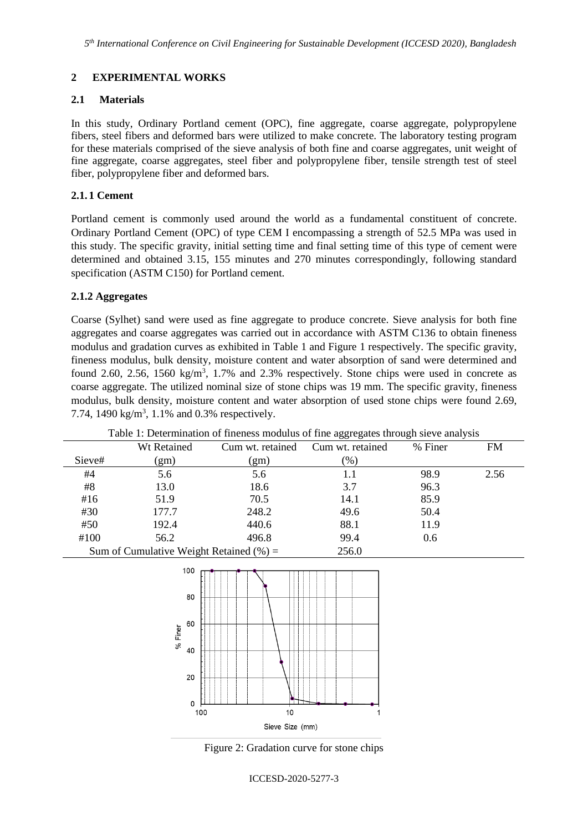# **2 EXPERIMENTAL WORKS**

### **2.1 Materials**

In this study, Ordinary Portland cement (OPC), fine aggregate, coarse aggregate, polypropylene fibers, steel fibers and deformed bars were utilized to make concrete. The laboratory testing program for these materials comprised of the sieve analysis of both fine and coarse aggregates, unit weight of fine aggregate, coarse aggregates, steel fiber and polypropylene fiber, tensile strength test of steel fiber, polypropylene fiber and deformed bars.

### **2.1. 1 Cement**

Portland cement is commonly used around the world as a fundamental constituent of concrete. Ordinary Portland Cement (OPC) of type CEM I encompassing a strength of 52.5 MPa was used in this study. The specific gravity, initial setting time and final setting time of this type of cement were determined and obtained 3.15, 155 minutes and 270 minutes correspondingly, following standard specification (ASTM C150) for Portland cement.

### **2.1.2 Aggregates**

Coarse (Sylhet) sand were used as fine aggregate to produce concrete. Sieve analysis for both fine aggregates and coarse aggregates was carried out in accordance with ASTM C136 to obtain fineness modulus and gradation curves as exhibited in Table 1 and Figure 1 respectively. The specific gravity, fineness modulus, bulk density, moisture content and water absorption of sand were determined and found 2.60, 2.56, 1560 kg/m<sup>3</sup>, 1.7% and 2.3% respectively. Stone chips were used in concrete as coarse aggregate. The utilized nominal size of stone chips was 19 mm. The specific gravity, fineness modulus, bulk density, moisture content and water absorption of used stone chips were found 2.69, 7.74, 1490  $\text{kg/m}^3$ , 1.1% and 0.3% respectively.

| Table 1: Determination of fineness modulus of fine aggregates through sieve analysis |                                             |                  |                  |         |      |
|--------------------------------------------------------------------------------------|---------------------------------------------|------------------|------------------|---------|------|
|                                                                                      | Wt Retained                                 | Cum wt. retained | Cum wt. retained | % Finer | FM   |
| Sieve#                                                                               | (gm)                                        | (gm)             | (%)              |         |      |
| #4                                                                                   | 5.6                                         | 5.6              | 1.1              | 98.9    | 2.56 |
| #8                                                                                   | 13.0                                        | 18.6             | 3.7              | 96.3    |      |
| #16                                                                                  | 51.9                                        | 70.5             | 14.1             | 85.9    |      |
| #30                                                                                  | 177.7                                       | 248.2            | 49.6             | 50.4    |      |
| #50                                                                                  | 192.4                                       | 440.6            | 88.1             | 11.9    |      |
| #100                                                                                 | 56.2                                        | 496.8            | 99.4             | 0.6     |      |
|                                                                                      | Sum of Cumulative Weight Retained $(\% )$ = |                  | 256.0            |         |      |



Figure 2: Gradation curve for stone chips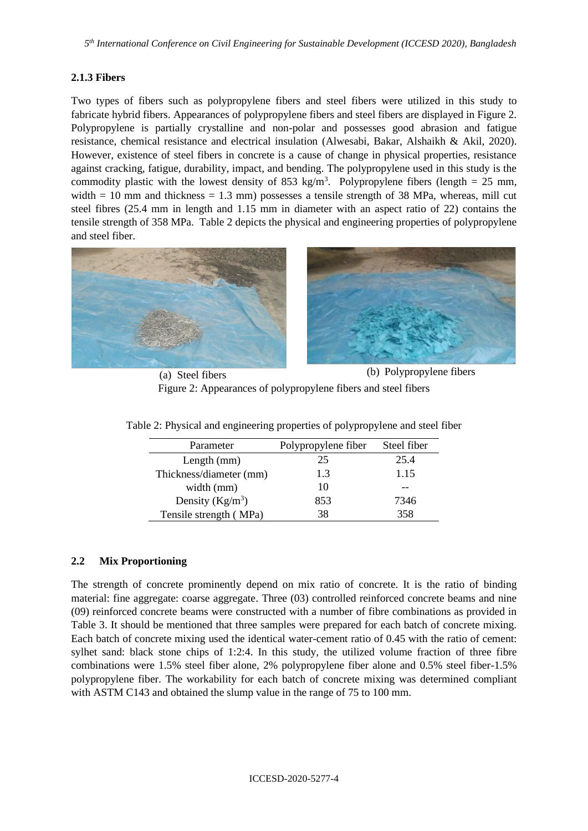# **2.1.3 Fibers**

Two types of fibers such as polypropylene fibers and steel fibers were utilized in this study to fabricate hybrid fibers. Appearances of polypropylene fibers and steel fibers are displayed in Figure 2. Polypropylene is partially crystalline and non-polar and possesses good abrasion and fatigue resistance, chemical resistance and electrical insulation (Alwesabi, Bakar, Alshaikh & Akil, 2020). However, existence of steel fibers in concrete is a cause of change in physical properties, resistance against cracking, fatigue, durability, impact, and bending. The polypropylene used in this study is the commodity plastic with the lowest density of 853 kg/m<sup>3</sup>. Polypropylene fibers (length = 25 mm, width  $= 10$  mm and thickness  $= 1.3$  mm) possesses a tensile strength of 38 MPa, whereas, mill cut steel fibres (25.4 mm in length and 1.15 mm in diameter with an aspect ratio of 22) contains the tensile strength of 358 MPa. Table 2 depicts the physical and engineering properties of polypropylene and steel fiber.





(a) Steel fibers (b) Polypropylene fibers Figure 2: Appearances of polypropylene fibers and steel fibers

| Parameter               | Polypropylene fiber | Steel fiber |
|-------------------------|---------------------|-------------|
| Length $(mm)$           | 25                  | 25.4        |
| Thickness/diameter (mm) | 1.3                 | 1.15        |
| width $(mm)$            | 10                  |             |
| Density $(Kg/m^3)$      | 853                 | 7346        |
| Tensile strength (MPa)  | 38                  | 358         |

Table 2: Physical and engineering properties of polypropylene and steel fiber

# **2.2 Mix Proportioning**

The strength of concrete prominently depend on mix ratio of concrete. It is the ratio of binding material: fine aggregate: coarse aggregate. Three (03) controlled reinforced concrete beams and nine (09) reinforced concrete beams were constructed with a number of fibre combinations as provided in Table 3. It should be mentioned that three samples were prepared for each batch of concrete mixing. Each batch of concrete mixing used the identical water-cement ratio of 0.45 with the ratio of cement: sylhet sand: black stone chips of 1:2:4. In this study, the utilized volume fraction of three fibre combinations were 1.5% steel fiber alone, 2% polypropylene fiber alone and 0.5% steel fiber-1.5% polypropylene fiber. The workability for each batch of concrete mixing was determined compliant with ASTM C143 and obtained the slump value in the range of 75 to 100 mm.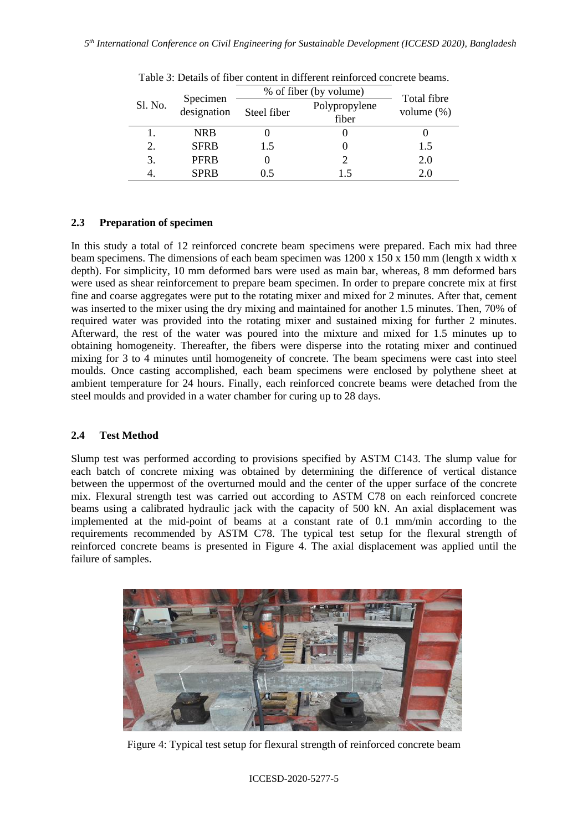| Sl. No. | Specimen<br>designation | % of fiber (by volume) |                        | Total fibre   |
|---------|-------------------------|------------------------|------------------------|---------------|
|         |                         | Steel fiber            | Polypropylene<br>fiber | volume $(\%)$ |
|         | <b>NRB</b>              |                        |                        |               |
| 2.      | <b>SFRB</b>             | 1.5                    |                        | 1.5           |
| 3.      | <b>PFRB</b>             | O                      |                        | 2.0           |
|         | <b>SPRB</b>             | 0.5                    | 1.5                    | 2.0           |

Table 3: Details of fiber content in different reinforced concrete beams.

#### **2.3 Preparation of specimen**

In this study a total of 12 reinforced concrete beam specimens were prepared. Each mix had three beam specimens. The dimensions of each beam specimen was  $1200 \times 150 \times 150$  mm (length x width x depth). For simplicity, 10 mm deformed bars were used as main bar, whereas, 8 mm deformed bars were used as shear reinforcement to prepare beam specimen. In order to prepare concrete mix at first fine and coarse aggregates were put to the rotating mixer and mixed for 2 minutes. After that, cement was inserted to the mixer using the dry mixing and maintained for another 1.5 minutes. Then, 70% of required water was provided into the rotating mixer and sustained mixing for further 2 minutes. Afterward, the rest of the water was poured into the mixture and mixed for 1.5 minutes up to obtaining homogeneity. Thereafter, the fibers were disperse into the rotating mixer and continued mixing for 3 to 4 minutes until homogeneity of concrete. The beam specimens were cast into steel moulds. Once casting accomplished, each beam specimens were enclosed by polythene sheet at ambient temperature for 24 hours. Finally, each reinforced concrete beams were detached from the steel moulds and provided in a water chamber for curing up to 28 days.

# **2.4 Test Method**

Slump test was performed according to provisions specified by ASTM C143. The slump value for each batch of concrete mixing was obtained by determining the difference of vertical distance between the uppermost of the overturned mould and the center of the upper surface of the concrete mix. Flexural strength test was carried out according to ASTM C78 on each reinforced concrete beams using a calibrated hydraulic jack with the capacity of 500 kN. An axial displacement was implemented at the mid-point of beams at a constant rate of 0.1 mm/min according to the requirements recommended by ASTM C78. The typical test setup for the flexural strength of reinforced concrete beams is presented in Figure 4. The axial displacement was applied until the failure of samples.



Figure 4: Typical test setup for flexural strength of reinforced concrete beam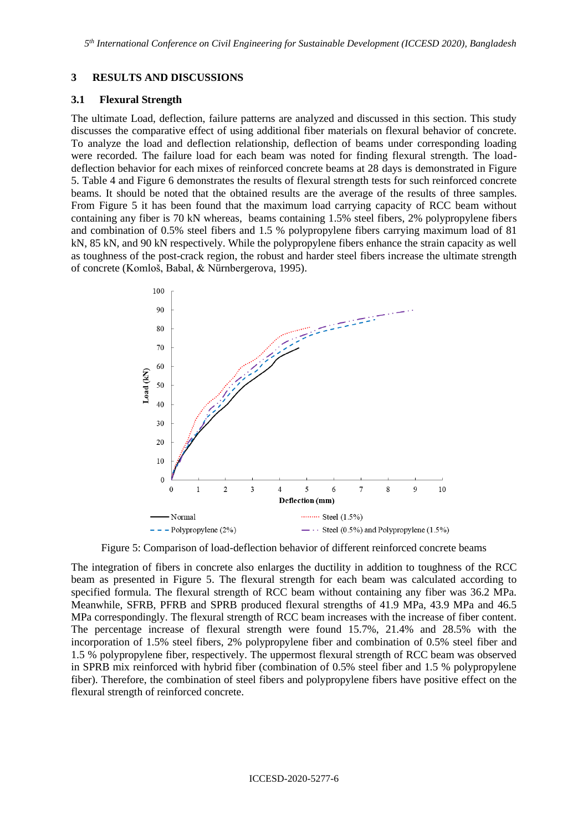#### **3 RESULTS AND DISCUSSIONS**

#### **3.1 Flexural Strength**

The ultimate Load, deflection, failure patterns are analyzed and discussed in this section. This study discusses the comparative effect of using additional fiber materials on flexural behavior of concrete. To analyze the load and deflection relationship, deflection of beams under corresponding loading were recorded. The failure load for each beam was noted for finding flexural strength. The loaddeflection behavior for each mixes of reinforced concrete beams at 28 days is demonstrated in Figure 5. Table 4 and Figure 6 demonstrates the results of flexural strength tests for such reinforced concrete beams. It should be noted that the obtained results are the average of the results of three samples. From Figure 5 it has been found that the maximum load carrying capacity of RCC beam without containing any fiber is 70 kN whereas, beams containing 1.5% steel fibers, 2% polypropylene fibers and combination of 0.5% steel fibers and 1.5 % polypropylene fibers carrying maximum load of 81 kN, 85 kN, and 90 kN respectively. While the polypropylene fibers enhance the strain capacity as well as toughness of the post-crack region, the robust and harder steel fibers increase the ultimate strength of concrete (Komloš, Babal, & Nürnbergerova, 1995).



Figure 5: Comparison of load-deflection behavior of different reinforced concrete beams

The integration of fibers in concrete also enlarges the ductility in addition to toughness of the RCC beam as presented in Figure 5. The flexural strength for each beam was calculated according to specified formula. The flexural strength of RCC beam without containing any fiber was 36.2 MPa. Meanwhile, SFRB, PFRB and SPRB produced flexural strengths of 41.9 MPa, 43.9 MPa and 46.5 MPa correspondingly. The flexural strength of RCC beam increases with the increase of fiber content. The percentage increase of flexural strength were found 15.7%, 21.4% and 28.5% with the incorporation of 1.5% steel fibers, 2% polypropylene fiber and combination of 0.5% steel fiber and 1.5 % polypropylene fiber, respectively. The uppermost flexural strength of RCC beam was observed in SPRB mix reinforced with hybrid fiber (combination of 0.5% steel fiber and 1.5 % polypropylene fiber). Therefore, the combination of steel fibers and polypropylene fibers have positive effect on the flexural strength of reinforced concrete.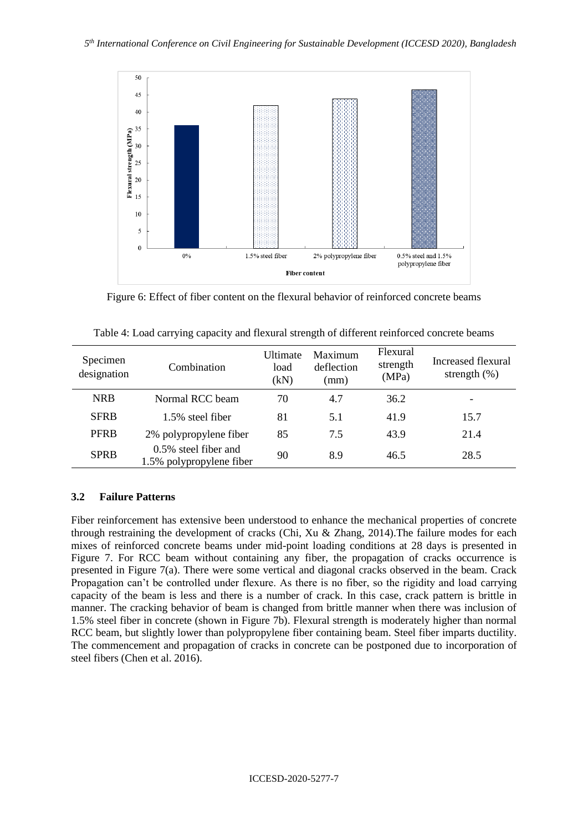

Figure 6: Effect of fiber content on the flexural behavior of reinforced concrete beams

| Specimen<br>designation | Combination                                      | <b>Ultimate</b><br>load<br>(kN) | Maximum<br>deflection<br>(mm) | Flexural<br>strength<br>(MPa) | Increased flexural<br>strength $(\%)$ |
|-------------------------|--------------------------------------------------|---------------------------------|-------------------------------|-------------------------------|---------------------------------------|
| <b>NRB</b>              | Normal RCC beam                                  | 70                              | 4.7                           | 36.2                          |                                       |
| <b>SFRB</b>             | 1.5% steel fiber                                 | 81                              | 5.1                           | 41.9                          | 15.7                                  |
| <b>PFRB</b>             | 2% polypropylene fiber                           | 85                              | 7.5                           | 43.9                          | 21.4                                  |
| <b>SPRB</b>             | 0.5% steel fiber and<br>1.5% polypropylene fiber | 90                              | 8.9                           | 46.5                          | 28.5                                  |

Table 4: Load carrying capacity and flexural strength of different reinforced concrete beams

# **3.2 Failure Patterns**

Fiber reinforcement has extensive been understood to enhance the mechanical properties of concrete through restraining the development of cracks (Chi, Xu & Zhang, 2014).The failure modes for each mixes of reinforced concrete beams under mid-point loading conditions at 28 days is presented in Figure 7. For RCC beam without containing any fiber, the propagation of cracks occurrence is presented in Figure 7(a). There were some vertical and diagonal cracks observed in the beam. Crack Propagation can't be controlled under flexure. As there is no fiber, so the rigidity and load carrying capacity of the beam is less and there is a number of crack. In this case, crack pattern is brittle in manner. The cracking behavior of beam is changed from brittle manner when there was inclusion of 1.5% steel fiber in concrete (shown in Figure 7b). Flexural strength is moderately higher than normal RCC beam, but slightly lower than polypropylene fiber containing beam. Steel fiber imparts ductility. The commencement and propagation of cracks in concrete can be postponed due to incorporation of steel fibers (Chen et al. 2016).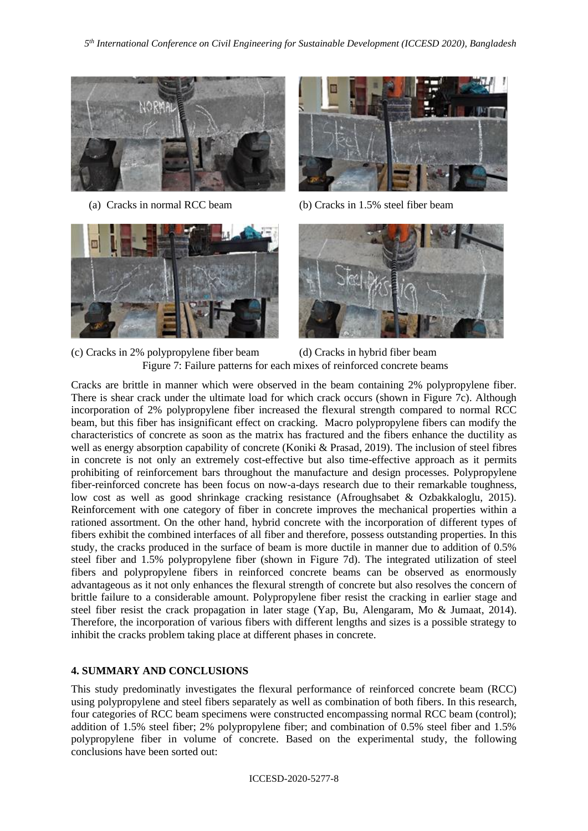



(a) Cracks in normal RCC beam (b) Cracks in 1.5% steel fiber beam





(c) Cracks in 2% polypropylene fiber beam (d) Cracks in hybrid fiber beam Figure 7: Failure patterns for each mixes of reinforced concrete beams

Cracks are brittle in manner which were observed in the beam containing 2% polypropylene fiber. There is shear crack under the ultimate load for which crack occurs (shown in Figure 7c). Although incorporation of 2% polypropylene fiber increased the flexural strength compared to normal RCC beam, but this fiber has insignificant effect on cracking. Macro polypropylene fibers can modify the characteristics of concrete as soon as the matrix has fractured and the fibers enhance the ductility as well as energy absorption capability of concrete (Koniki & Prasad, 2019). The inclusion of steel fibres in concrete is not only an extremely cost-effective but also time-effective approach as it permits prohibiting of reinforcement bars throughout the manufacture and design processes. Polypropylene fiber-reinforced concrete has been focus on now-a-days research due to their remarkable toughness, low cost as well as good shrinkage cracking resistance (Afroughsabet & Ozbakkaloglu, 2015). Reinforcement with one category of fiber in concrete improves the mechanical properties within a rationed assortment. On the other hand, hybrid concrete with the incorporation of different types of fibers exhibit the combined interfaces of all fiber and therefore, possess outstanding properties. In this study, the cracks produced in the surface of beam is more ductile in manner due to addition of 0.5% steel fiber and 1.5% polypropylene fiber (shown in Figure 7d). The integrated utilization of steel fibers and polypropylene fibers in reinforced concrete beams can be observed as enormously advantageous as it not only enhances the flexural strength of concrete but also resolves the concern of brittle failure to a considerable amount. Polypropylene fiber resist the cracking in earlier stage and steel fiber resist the crack propagation in later stage (Yap, Bu, Alengaram, Mo & Jumaat, 2014). Therefore, the incorporation of various fibers with different lengths and sizes is a possible strategy to inhibit the cracks problem taking place at different phases in concrete.

# **4. SUMMARY AND CONCLUSIONS**

This study predominatly investigates the flexural performance of reinforced concrete beam (RCC) using polypropylene and steel fibers separately as well as combination of both fibers. In this research, four categories of RCC beam specimens were constructed encompassing normal RCC beam (control); addition of 1.5% steel fiber; 2% polypropylene fiber; and combination of 0.5% steel fiber and 1.5% polypropylene fiber in volume of concrete. Based on the experimental study, the following conclusions have been sorted out: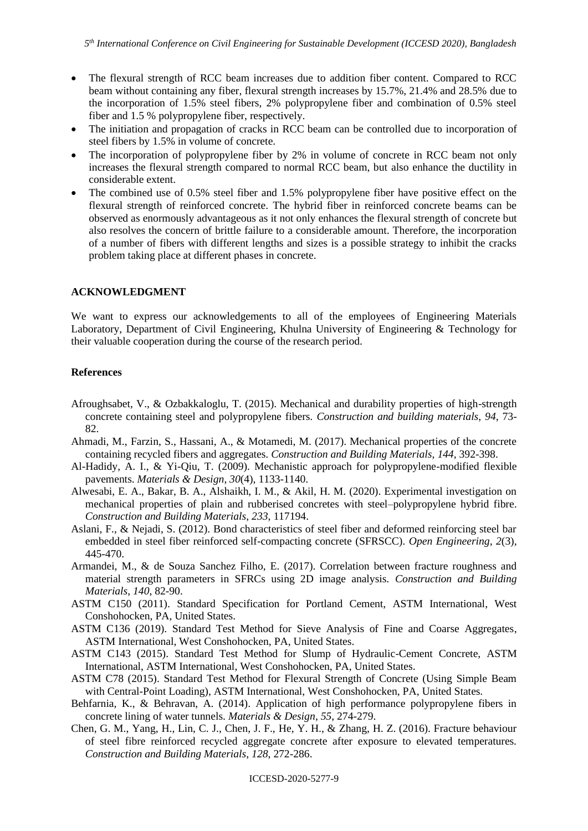- The flexural strength of RCC beam increases due to addition fiber content. Compared to RCC beam without containing any fiber, flexural strength increases by 15.7%, 21.4% and 28.5% due to the incorporation of 1.5% steel fibers, 2% polypropylene fiber and combination of 0.5% steel fiber and 1.5 % polypropylene fiber, respectively.
- The initiation and propagation of cracks in RCC beam can be controlled due to incorporation of steel fibers by 1.5% in volume of concrete.
- The incorporation of polypropylene fiber by 2% in volume of concrete in RCC beam not only increases the flexural strength compared to normal RCC beam, but also enhance the ductility in considerable extent.
- The combined use of 0.5% steel fiber and 1.5% polypropylene fiber have positive effect on the flexural strength of reinforced concrete. The hybrid fiber in reinforced concrete beams can be observed as enormously advantageous as it not only enhances the flexural strength of concrete but also resolves the concern of brittle failure to a considerable amount. Therefore, the incorporation of a number of fibers with different lengths and sizes is a possible strategy to inhibit the cracks problem taking place at different phases in concrete.

### **ACKNOWLEDGMENT**

We want to express our acknowledgements to all of the employees of Engineering Materials Laboratory, Department of Civil Engineering, Khulna University of Engineering & Technology for their valuable cooperation during the course of the research period.

### **References**

- Afroughsabet, V., & Ozbakkaloglu, T. (2015). Mechanical and durability properties of high-strength concrete containing steel and polypropylene fibers. *Construction and building materials*, *94*, 73- 82.
- Ahmadi, M., Farzin, S., Hassani, A., & Motamedi, M. (2017). Mechanical properties of the concrete containing recycled fibers and aggregates. *Construction and Building Materials*, *144*, 392-398.
- Al-Hadidy, A. I., & Yi-Qiu, T. (2009). Mechanistic approach for polypropylene-modified flexible pavements. *Materials & Design*, *30*(4), 1133-1140.
- Alwesabi, E. A., Bakar, B. A., Alshaikh, I. M., & Akil, H. M. (2020). Experimental investigation on mechanical properties of plain and rubberised concretes with steel–polypropylene hybrid fibre. *Construction and Building Materials*, *233*, 117194.
- Aslani, F., & Nejadi, S. (2012). Bond characteristics of steel fiber and deformed reinforcing steel bar embedded in steel fiber reinforced self-compacting concrete (SFRSCC). *Open Engineering*, *2*(3), 445-470.
- Armandei, M., & de Souza Sanchez Filho, E. (2017). Correlation between fracture roughness and material strength parameters in SFRCs using 2D image analysis. *Construction and Building Materials*, *140*, 82-90.
- ASTM C150 (2011). Standard Specification for Portland Cement, ASTM International, West Conshohocken, PA, United States.
- ASTM C136 (2019). Standard Test Method for Sieve Analysis of Fine and Coarse Aggregates, ASTM International, West Conshohocken, PA, United States.
- ASTM C143 (2015). Standard Test Method for Slump of Hydraulic-Cement Concrete, ASTM International, ASTM International, West Conshohocken, PA, United States.
- ASTM C78 (2015). Standard Test Method for Flexural Strength of Concrete (Using Simple Beam with Central-Point Loading), ASTM International, West Conshohocken, PA, United States.
- Behfarnia, K., & Behravan, A. (2014). Application of high performance polypropylene fibers in concrete lining of water tunnels. *Materials & Design*, *55*, 274-279.
- Chen, G. M., Yang, H., Lin, C. J., Chen, J. F., He, Y. H., & Zhang, H. Z. (2016). Fracture behaviour of steel fibre reinforced recycled aggregate concrete after exposure to elevated temperatures. *Construction and Building Materials*, *128*, 272-286.